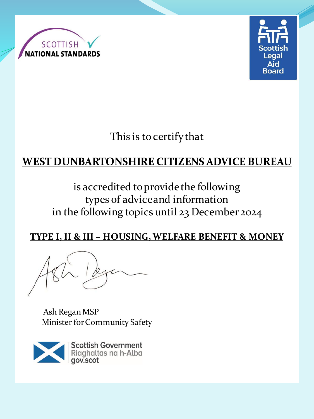



This is to certify that

## **WEST DUNBARTONSHIRE CITIZENS ADVICE BUREAU**

### is accredited to provide the following types of advice and information in the following topics until 23 December 2024

#### **TYPE I, II & III – HOUSING, WELFARE BENEFIT & MONEY**

Ash Regan MSP Minister for Community Safety

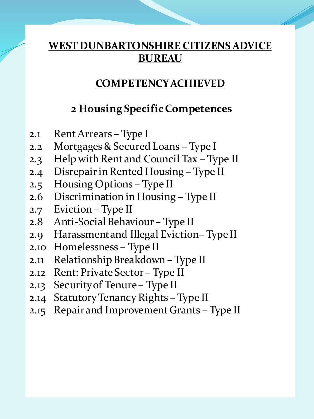### **COMPETENCY ACHIEVED**

### **2 Housing Specific Competences**

- 2.1 Rent Arrears Type I
- 2.2 Mortgages & Secured Loans Type I
- 2.3 Help with Rent and Council Tax Type II
- 2.4 Disrepair in Rented Housing Type II
- 2.5 Housing Options Type II
- 2.6 Discrimination in Housing Type II
- 2.7 Eviction Type II
- 2.8 Anti-Social Behaviour Type II
- 2.9 Harassment and Illegal Eviction– Type II
- 2.10 Homelessness Type II
- 2.11 Relationship Breakdown Type II
- 2.12 Rent: Private Sector Type II
- 2.13 Security of Tenure Type II
- 2.14 Statutory Tenancy Rights Type II
- 2.15 Repair and Improvement Grants Type II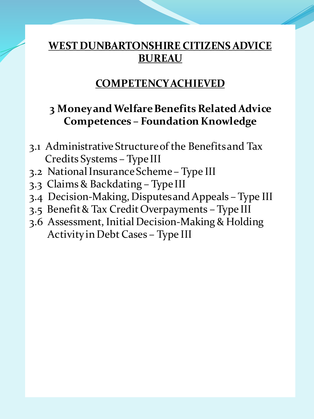### **COMPETENCY ACHIEVED**

### **3 Money and Welfare Benefits Related Advice Competences – Foundation Knowledge**

- 3.1 Administrative Structure of the Benefits and Tax Credits Systems – Type III
- 3.2 National Insurance Scheme Type III
- 3.3 Claims & Backdating Type III
- 3.4 Decision-Making, Disputes and Appeals Type III
- 3.5 Benefit & Tax Credit Overpayments Type III
- 3.6 Assessment, Initial Decision-Making & Holding Activity in Debt Cases – Type III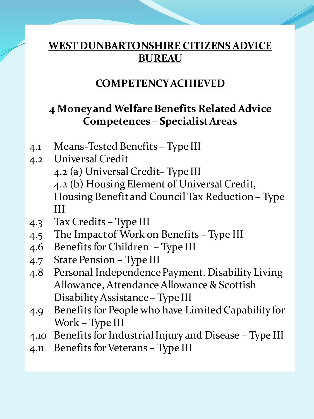### **COMPETENCY ACHIEVED**

## **4 Money and Welfare Benefits Related Advice Competences – Specialist Areas**

- 4.1 Means-Tested Benefits Type III
- 4.2 Universal Credit 4.2 (a) Universal Credit– Type III 4.2 (b) Housing Element of Universal Credit, Housing Benefit and Council Tax Reduction – Type III
- 4.3 Tax Credits Type III
- 4.5 The Impact of Work on Benefits Type III
- 4.6 Benefits for Children Type III
- 4.7 State Pension Type III
- 4.8 Personal Independence Payment, Disability Living Allowance, Attendance Allowance & Scottish Disability Assistance – Type III
- 4.9 Benefits for People who have Limited Capability for Work – Type III
- 4.10 Benefits for Industrial Injury and Disease Type III
- 4.11 Benefits for Veterans Type III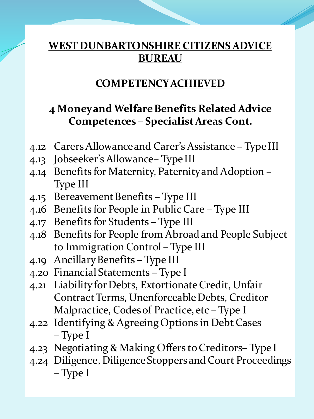### **COMPETENCY ACHIEVED**

### **4 Money and Welfare Benefits Related Advice Competences – Specialist Areas Cont.**

- 4.12 Carers Allowance and Carer's Assistance Type III
- 4.13 Jobseeker's Allowance– Type III
- 4.14 Benefits for Maternity, Paternity and Adoption Type III
- 4.15 Bereavement Benefits Type III
- 4.16 Benefits for People in Public Care Type III
- 4.17 Benefits for Students Type III
- 4.18 Benefits for People from Abroad and People Subject to Immigration Control – Type III
- 4.19 Ancillary Benefits Type III
- 4.20 Financial Statements Type I
- 4.21 Liability for Debts, Extortionate Credit, Unfair Contract Terms, Unenforceable Debts, Creditor Malpractice, Codes of Practice, etc – Type I
- 4.22 Identifying & Agreeing Options in Debt Cases – Type I
- 4.23 Negotiating & Making Offers to Creditors– Type I
- 4.24 Diligence, Diligence Stoppers and Court Proceedings – Type I